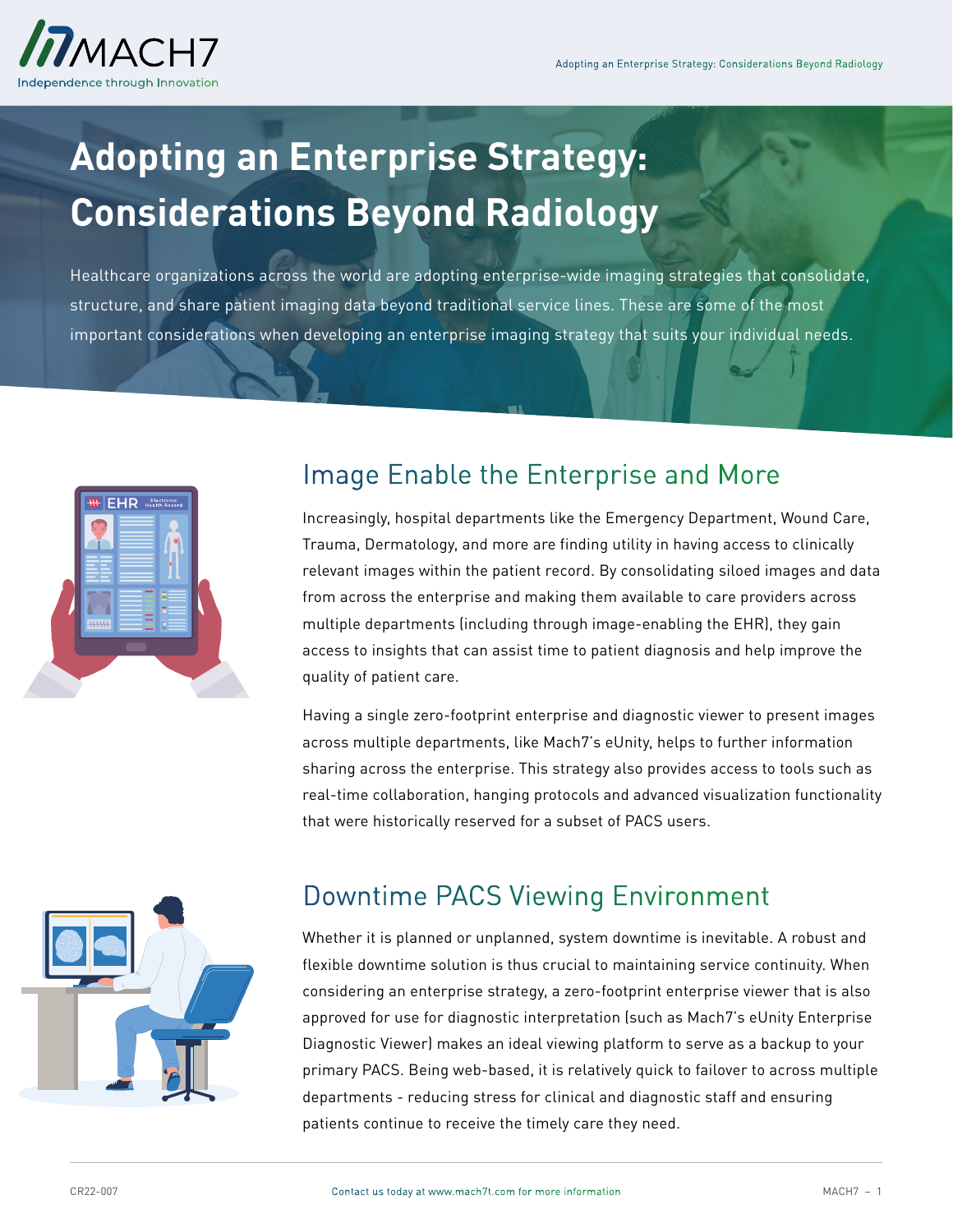# **Adopting an Enterprise Strategy: Considerations Beyond Radiology**

Healthcare organizations across the world are adopting enterprise-wide imaging strategies that consolidate, structure, and share patient imaging data beyond traditional service lines. These are some of the most important considerations when developing an enterprise imaging strategy that suits your individual needs.



### Image Enable the Enterprise and More

Increasingly, hospital departments like the Emergency Department, Wound Care, Trauma, Dermatology, and more are finding utility in having access to clinically relevant images within the patient record. By consolidating siloed images and data from across the enterprise and making them available to care providers across multiple departments (including through image-enabling the EHR), they gain access to insights that can assist time to patient diagnosis and help improve the quality of patient care.

Having a single zero-footprint enterprise and diagnostic viewer to present images across multiple departments, like Mach7's eUnity, helps to further information sharing across the enterprise. This strategy also provides access to tools such as real-time collaboration, hanging protocols and advanced visualization functionality that were historically reserved for a subset of PACS users.



#### Downtime PACS Viewing Environment

Whether it is planned or unplanned, system downtime is inevitable. A robust and flexible downtime solution is thus crucial to maintaining service continuity. When considering an enterprise strategy, a zero-footprint enterprise viewer that is also approved for use for diagnostic interpretation (such as Mach7's eUnity Enterprise Diagnostic Viewer) makes an ideal viewing platform to serve as a backup to your primary PACS. Being web-based, it is relatively quick to failover to across multiple departments - reducing stress for clinical and diagnostic staff and ensuring patients continue to receive the timely care they need.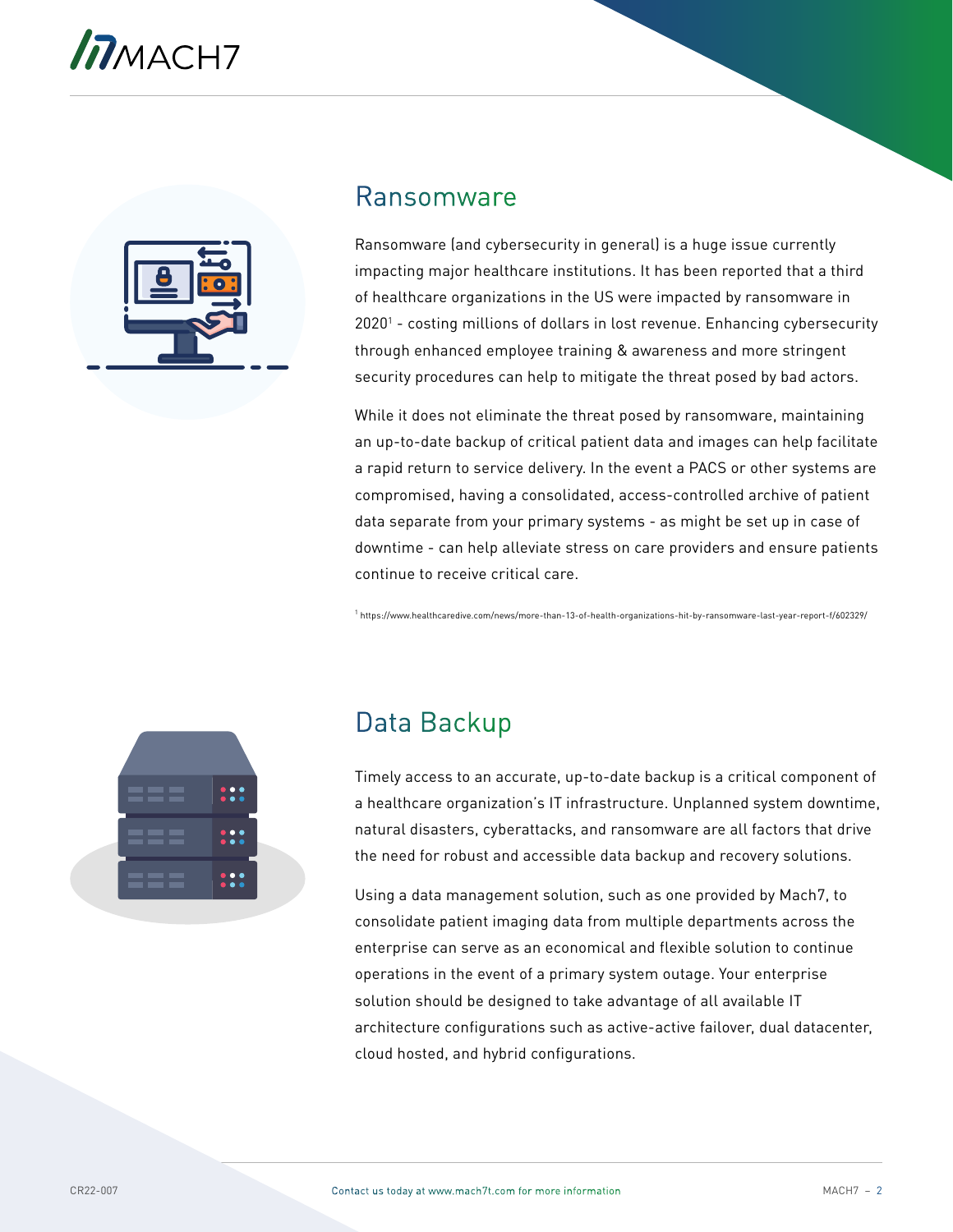

#### Ransomware

Ransomware (and cybersecurity in general) is a huge issue currently impacting major healthcare institutions. It has been reported that a third of healthcare organizations in the US were impacted by ransomware in 2020<sup>1</sup> - costing millions of dollars in lost revenue. Enhancing cybersecurity through enhanced employee training & awareness and more stringent security procedures can help to mitigate the threat posed by bad actors.

While it does not eliminate the threat posed by ransomware, maintaining an up-to-date backup of critical patient data and images can help facilitate a rapid return to service delivery. In the event a PACS or other systems are compromised, having a consolidated, access-controlled archive of patient data separate from your primary systems - as might be set up in case of downtime - can help alleviate stress on care providers and ensure patients continue to receive critical care.

<sup>1</sup> https://www.healthcaredive.com/news/more-than-13-of-health-organizations-hit-by-ransomware-last-year-report-f/602329/



# Data Backup

Timely access to an accurate, up-to-date backup is a critical component of a healthcare organization's IT infrastructure. Unplanned system downtime, natural disasters, cyberattacks, and ransomware are all factors that drive the need for robust and accessible data backup and recovery solutions.

Using a data management solution, such as one provided by Mach7, to consolidate patient imaging data from multiple departments across the enterprise can serve as an economical and flexible solution to continue operations in the event of a primary system outage. Your enterprise solution should be designed to take advantage of all available IT architecture configurations such as active-active failover, dual datacenter, cloud hosted, and hybrid configurations.